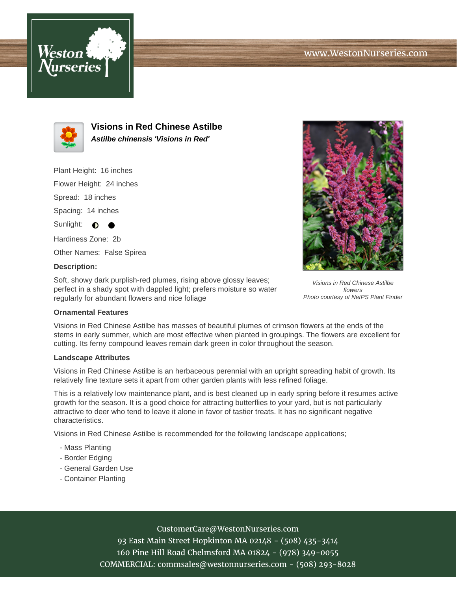



**Visions in Red Chinese Astilbe Astilbe chinensis 'Visions in Red'**

Plant Height: 16 inches

Flower Height: 24 inches

Spread: 18 inches

Spacing: 14 inches

Sunlight:  $\bigcirc$ 

Hardiness Zone: 2b

Other Names: False Spirea

### **Description:**

Soft, showy dark purplish-red plumes, rising above glossy leaves; perfect in a shady spot with dappled light; prefers moisture so water regularly for abundant flowers and nice foliage



Visions in Red Chinese Astilbe flowers Photo courtesy of NetPS Plant Finder

### **Ornamental Features**

Visions in Red Chinese Astilbe has masses of beautiful plumes of crimson flowers at the ends of the stems in early summer, which are most effective when planted in groupings. The flowers are excellent for cutting. Its ferny compound leaves remain dark green in color throughout the season.

### **Landscape Attributes**

Visions in Red Chinese Astilbe is an herbaceous perennial with an upright spreading habit of growth. Its relatively fine texture sets it apart from other garden plants with less refined foliage.

This is a relatively low maintenance plant, and is best cleaned up in early spring before it resumes active growth for the season. It is a good choice for attracting butterflies to your yard, but is not particularly attractive to deer who tend to leave it alone in favor of tastier treats. It has no significant negative characteristics.

Visions in Red Chinese Astilbe is recommended for the following landscape applications;

- Mass Planting
- Border Edging
- General Garden Use
- Container Planting

# CustomerCare@WestonNurseries.com

93 East Main Street Hopkinton MA 02148 - (508) 435-3414 160 Pine Hill Road Chelmsford MA 01824 - (978) 349-0055 COMMERCIAL: commsales@westonnurseries.com - (508) 293-8028